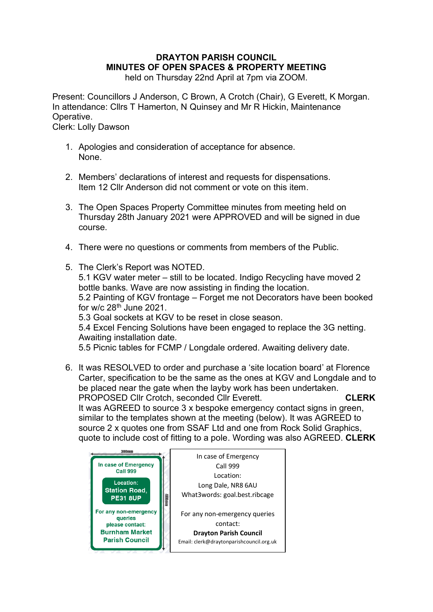# **DRAYTON PARISH COUNCIL MINUTES OF OPEN SPACES & PROPERTY MEETING**

held on Thursday 22nd April at 7pm via ZOOM.

Present: Councillors J Anderson, C Brown, A Crotch (Chair), G Everett, K Morgan. In attendance: Cllrs T Hamerton, N Quinsey and Mr R Hickin, Maintenance Operative.

Clerk: Lolly Dawson

- 1. Apologies and consideration of acceptance for absence. None.
- 2. Members' declarations of interest and requests for dispensations. Item 12 Cllr Anderson did not comment or vote on this item.
- 3. The Open Spaces Property Committee minutes from meeting held on Thursday 28th January 2021 were APPROVED and will be signed in due course.
- 4. There were no questions or comments from members of the Public.
- 5. The Clerk's Report was NOTED. 5.1 KGV water meter – still to be located. Indigo Recycling have moved 2 bottle banks. Wave are now assisting in finding the location. 5.2 Painting of KGV frontage – Forget me not Decorators have been booked for  $w/c$  28<sup>th</sup> June 2021. 5.3 Goal sockets at KGV to be reset in close season. 5.4 Excel Fencing Solutions have been engaged to replace the 3G netting. Awaiting installation date. 5.5 Picnic tables for FCMP / Longdale ordered. Awaiting delivery date.
- 6. It was RESOLVED to order and purchase a 'site location board' at Florence Carter, specification to be the same as the ones at KGV and Longdale and to be placed near the gate when the layby work has been undertaken. PROPOSED Cllr Crotch, seconded Cllr Everett. **CLERK** It was AGREED to source 3 x bespoke emergency contact signs in green,

similar to the templates shown at the meeting (below). It was AGREED to source 2 x quotes one from SSAF Ltd and one from Rock Solid Graphics, quote to include cost of fitting to a pole. Wording was also AGREED. **CLERK**

| 300mm                                                | In case of Emergency                                |
|------------------------------------------------------|-----------------------------------------------------|
| In case of Emergency                                 | Call 999                                            |
| <b>Call 999</b>                                      | Location:                                           |
| Location:<br><b>Station Road,</b><br><b>PE31 8UP</b> | Long Dale, NR8 6AU<br>What3words: goal.best.ribcage |
| For any non-emergency                                | 400mm                                               |
| queries                                              | For any non-emergency queries                       |
| please contact:                                      | contact:                                            |
| <b>Burnham Market</b>                                | <b>Drayton Parish Council</b>                       |
| <b>Parish Council</b>                                | Email: clerk@draytonparishcouncil.org.uk            |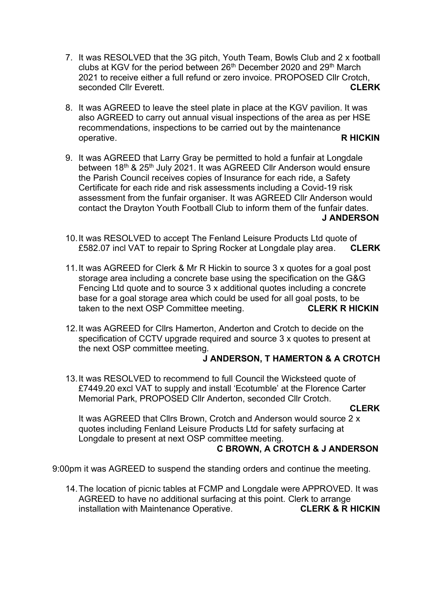- 7. It was RESOLVED that the 3G pitch, Youth Team, Bowls Club and 2 x football clubs at KGV for the period between 26<sup>th</sup> December 2020 and 29<sup>th</sup> March 2021 to receive either a full refund or zero invoice. PROPOSED Cllr Crotch, seconded Cllr Everett. **CLERK**
- 8. It was AGREED to leave the steel plate in place at the KGV pavilion. It was also AGREED to carry out annual visual inspections of the area as per HSE recommendations, inspections to be carried out by the maintenance operative. **R HICKIN**
- 9. It was AGREED that Larry Gray be permitted to hold a funfair at Longdale between 18<sup>th</sup> & 25<sup>th</sup> July 2021. It was AGREED CIIr Anderson would ensure the Parish Council receives copies of Insurance for each ride, a Safety Certificate for each ride and risk assessments including a Covid-19 risk assessment from the funfair organiser. It was AGREED Cllr Anderson would contact the Drayton Youth Football Club to inform them of the funfair dates.  **J ANDERSON**
- 10.It was RESOLVED to accept The Fenland Leisure Products Ltd quote of £582.07 incl VAT to repair to Spring Rocker at Longdale play area. **CLERK**
- 11.It was AGREED for Clerk & Mr R Hickin to source 3 x quotes for a goal post storage area including a concrete base using the specification on the G&G Fencing Ltd quote and to source 3 x additional quotes including a concrete base for a goal storage area which could be used for all goal posts, to be taken to the next OSP Committee meeting. **CLERK R HICKIN**
- 12.It was AGREED for Cllrs Hamerton, Anderton and Crotch to decide on the specification of CCTV upgrade required and source 3 x quotes to present at the next OSP committee meeting.

# **J ANDERSON, T HAMERTON & A CROTCH**

13.It was RESOLVED to recommend to full Council the Wicksteed quote of £7449.20 excl VAT to supply and install 'Ecotumble' at the Florence Carter Memorial Park, PROPOSED Cllr Anderton, seconded Cllr Crotch.

## *CLERK* **CLERK**

It was AGREED that Cllrs Brown, Crotch and Anderson would source 2 x quotes including Fenland Leisure Products Ltd for safety surfacing at Longdale to present at next OSP committee meeting.

## **C BROWN, A CROTCH & J ANDERSON**

9:00pm it was AGREED to suspend the standing orders and continue the meeting.

14.The location of picnic tables at FCMP and Longdale were APPROVED. It was AGREED to have no additional surfacing at this point. Clerk to arrange installation with Maintenance Operative. **CLERK & R HICKIN**